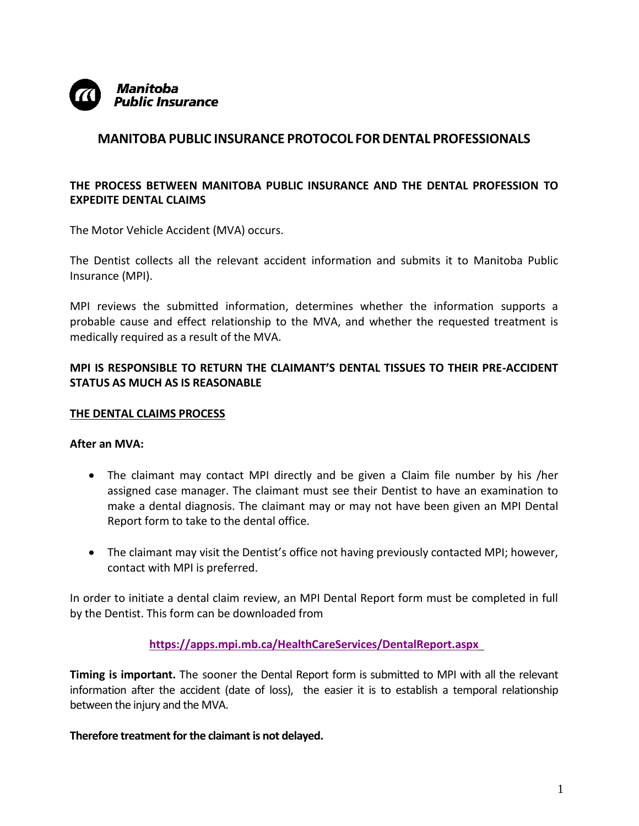

## **MANITOBA PUBLIC INSURANCE PROTOCOL FORDENTAL PROFESSIONALS**

## **THE PROCESS BETWEEN MANITOBA PUBLIC INSURANCE AND THE DENTAL PROFESSION TO EXPEDITE DENTAL CLAIMS**

The Motor Vehicle Accident (MVA) occurs.

The Dentist collects all the relevant accident information and submits it to Manitoba Public Insurance (MPI).

MPI reviews the submitted information, determines whether the information supports a probable cause and effect relationship to the MVA, and whether the requested treatment is medically required as a result of the MVA.

## **MPI IS RESPONSIBLE TO RETURN THE CLAIMANT'S DENTAL TISSUES TO THEIR PRE-ACCIDENT STATUS AS MUCH AS IS REASONABLE**

#### **THE DENTAL CLAIMS PROCESS**

#### **After an MVA:**

- The claimant may contact MPI directly and be given a Claim file number by his /her assigned case manager. The claimant must see their Dentist to have an examination to make a dental diagnosis. The claimant may or may not have been given an MPI Dental Report form to take to the dental office.
- The claimant may visit the Dentist's office not having previously contacted MPI; however, contact with MPI is preferred.

In order to initiate a dental claim review, an MPI Dental Report form must be completed in full by the Dentist. This form can be downloaded from

**<https://apps.mpi.mb.ca/HealthCareServices/DentalReport.aspx>**

**Timing is important.** The sooner the Dental Report form is submitted to MPI with all the relevant information after the accident (date of loss), the easier it is to establish a temporal relationship between the injury and the MVA.

#### **Therefore treatment for the claimant is not delayed.**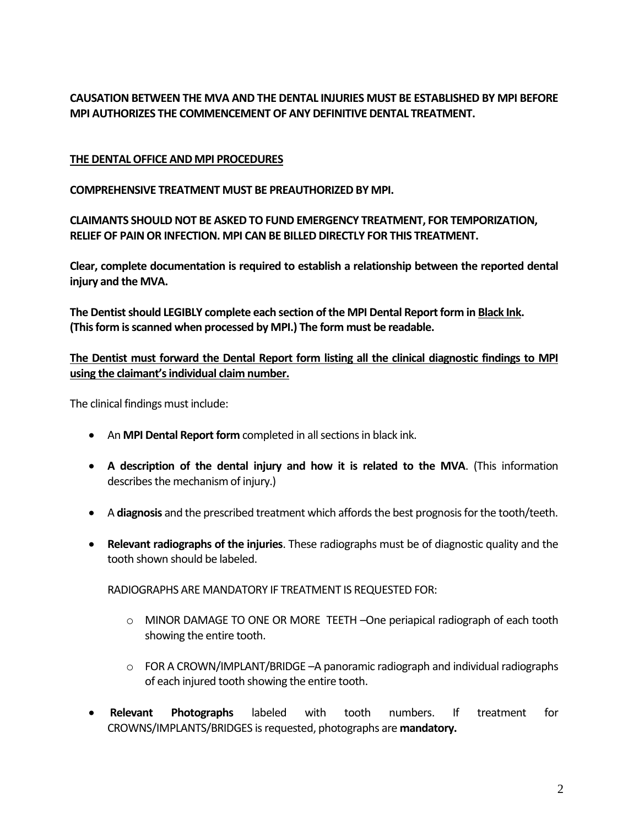**CAUSATION BETWEEN THE MVA AND THE DENTAL INJURIES MUST BE ESTABLISHED BY MPI BEFORE MPI AUTHORIZES THE COMMENCEMENT OF ANY DEFINITIVE DENTAL TREATMENT.**

## **THE DENTAL OFFICE AND MPI PROCEDURES**

**COMPREHENSIVE TREATMENT MUST BE PREAUTHORIZED BY MPI.**

**CLAIMANTS SHOULD NOT BE ASKED TO FUND EMERGENCY TREATMENT, FOR TEMPORIZATION, RELIEF OF PAIN OR INFECTION. MPI CAN BE BILLED DIRECTLY FOR THIS TREATMENT.**

**Clear, complete documentation is required to establish a relationship between the reported dental injury and the MVA.**

**The Dentist should LEGIBLY complete each section of the MPI Dental Report form in Black Ink. (This form is scanned when processed by MPI.) The form must be readable.**

**The Dentist must forward the Dental Report form listing all the clinical diagnostic findings to MPI using the claimant's individual claim number.**

The clinical findings must include:

- An **MPI Dental Report form** completed in all sections in black ink.
- **A description of the dental injury and how it is related to the MVA**. (This information describes the mechanism of injury.)
- A **diagnosis** and the prescribed treatment which affords the best prognosis for the tooth/teeth.
- **Relevant radiographs of the injuries**. These radiographs must be of diagnostic quality and the tooth shown should be labeled.

RADIOGRAPHS ARE MANDATORY IF TREATMENT IS REQUESTED FOR:

- o MINOR DAMAGE TO ONE OR MORE TEETH –One periapical radiograph of each tooth showing the entire tooth.
- $\circ$  FOR A CROWN/IMPLANT/BRIDGE –A panoramic radiograph and individual radiographs of each injured tooth showing the entire tooth.
- **Relevant Photographs** labeled with tooth numbers. If treatment for CROWNS/IMPLANTS/BRIDGES is requested, photographs are **mandatory.**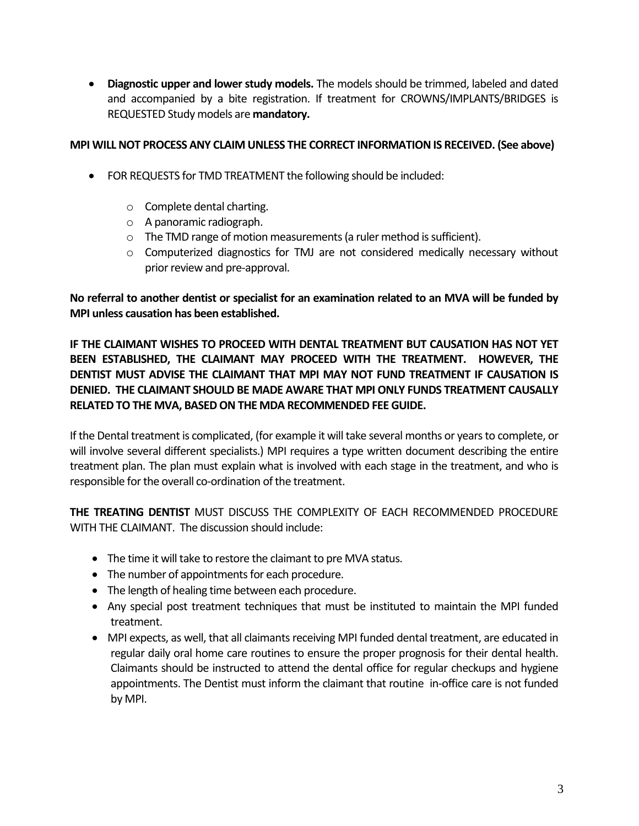**Diagnostic upper and lower study models.** The models should be trimmed, labeled and dated and accompanied by a bite registration. If treatment for CROWNS/IMPLANTS/BRIDGES is REQUESTED Study models are **mandatory.**

## **MPI WILL NOT PROCESS ANY CLAIM UNLESS THE CORRECT INFORMATION IS RECEIVED. (See above)**

- FOR REQUESTS for TMD TREATMENT the following should be included:
	- o Complete dental charting.
	- o A panoramic radiograph.
	- o The TMD range of motion measurements (a ruler method is sufficient).
	- o Computerized diagnostics for TMJ are not considered medically necessary without prior review and pre-approval.

**No referral to another dentist or specialist for an examination related to an MVA will be funded by MPI unless causation has been established.**

**IF THE CLAIMANT WISHES TO PROCEED WITH DENTAL TREATMENT BUT CAUSATION HAS NOT YET BEEN ESTABLISHED, THE CLAIMANT MAY PROCEED WITH THE TREATMENT. HOWEVER, THE DENTIST MUST ADVISE THE CLAIMANT THAT MPI MAY NOT FUND TREATMENT IF CAUSATION IS DENIED. THE CLAIMANT SHOULD BE MADE AWARE THAT MPI ONLY FUNDS TREATMENT CAUSALLY RELATED TO THE MVA, BASED ON THE MDA RECOMMENDED FEE GUIDE.**

If the Dental treatment is complicated, (for example it will take several months or years to complete, or will involve several different specialists.) MPI requires a type written document describing the entire treatment plan. The plan must explain what is involved with each stage in the treatment, and who is responsible for the overall co-ordination of the treatment.

**THE TREATING DENTIST** MUST DISCUSS THE COMPLEXITY OF EACH RECOMMENDED PROCEDURE WITH THE CLAIMANT. The discussion should include:

- The time it will take to restore the claimant to pre MVA status.
- The number of appointments for each procedure.
- The length of healing time between each procedure.
- Any special post treatment techniques that must be instituted to maintain the MPI funded treatment.
- MPI expects, as well, that all claimants receiving MPI funded dental treatment, are educated in regular daily oral home care routines to ensure the proper prognosis for their dental health. Claimants should be instructed to attend the dental office for regular checkups and hygiene appointments. The Dentist must inform the claimant that routine in-office care is not funded by MPI.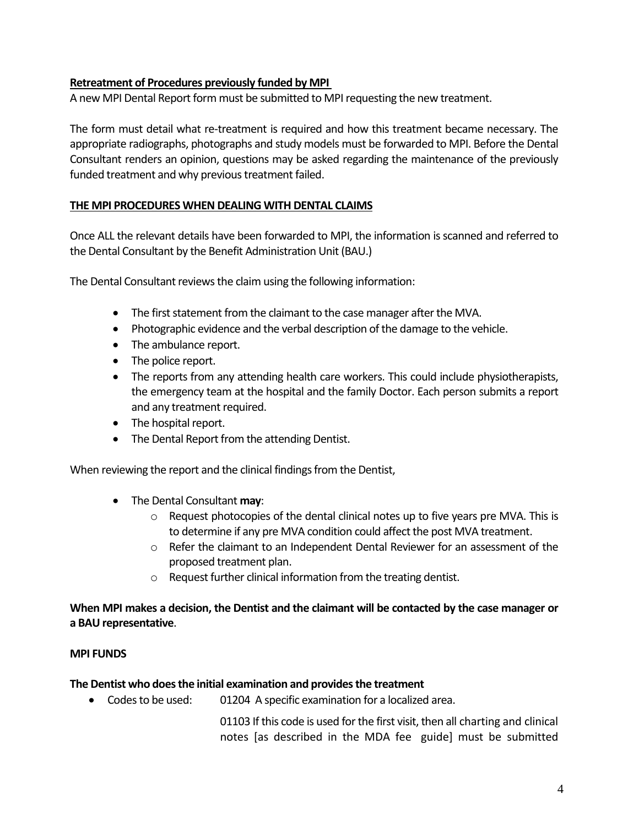### **Retreatment of Procedures previously funded by MPI**

A new MPI Dental Report form must be submitted to MPI requesting the new treatment.

The form must detail what re-treatment is required and how this treatment became necessary. The appropriate radiographs, photographs and study models must be forwarded to MPI. Before the Dental Consultant renders an opinion, questions may be asked regarding the maintenance of the previously funded treatment and why previous treatment failed.

### **THE MPI PROCEDURES WHEN DEALING WITH DENTAL CLAIMS**

Once ALL the relevant details have been forwarded to MPI, the information is scanned and referred to the Dental Consultant by the Benefit Administration Unit (BAU.)

The Dental Consultant reviews the claim using the following information:

- The first statement from the claimant to the case manager after the MVA.
- Photographic evidence and the verbal description of the damage to the vehicle.
- The ambulance report.
- The police report.
- The reports from any attending health care workers. This could include physiotherapists, the emergency team at the hospital and the family Doctor. Each person submits a report and any treatment required.
- The hospital report.
- The Dental Report from the attending Dentist.

When reviewing the report and the clinical findings from the Dentist,

- The Dental Consultant **may**:
	- o Request photocopies of the dental clinical notes up to five years pre MVA. This is to determine if any pre MVA condition could affect the post MVA treatment.
	- $\circ$  Refer the claimant to an Independent Dental Reviewer for an assessment of the proposed treatment plan.
	- o Request further clinical information from the treating dentist.

## **When MPI makes a decision, the Dentist and the claimant will be contacted by the case manager or a BAU representative**.

#### **MPI FUNDS**

#### **The Dentist who does the initial examination and provides the treatment**

• Codes to be used: 01204 A specific examination for a localized area.

01103 If this code is used for the first visit, then all charting and clinical notes [as described in the MDA fee guide] must be submitted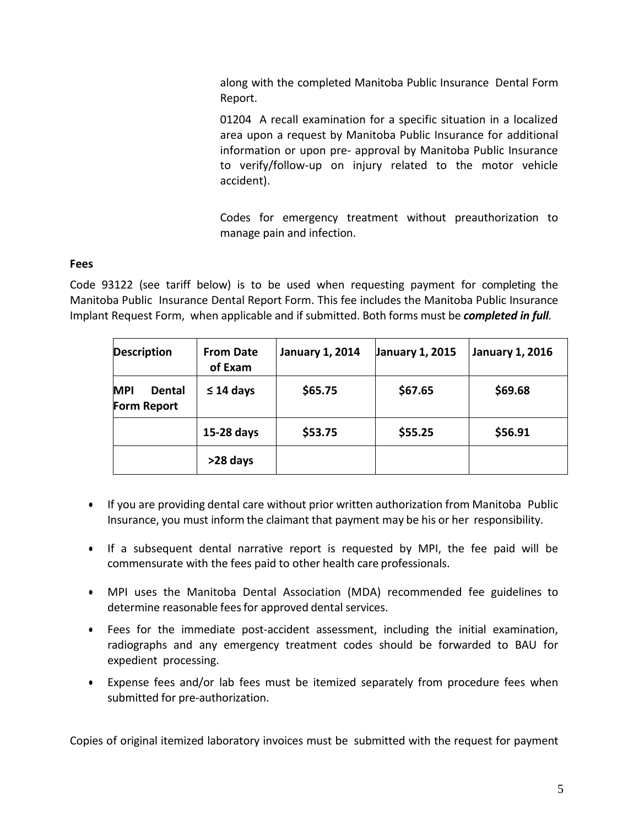along with the completed Manitoba Public Insurance Dental Form Report.

01204 A recall examination for a specific situation in a localized area upon a request by Manitoba Public Insurance for additional information or upon pre- approval by Manitoba Public Insurance to verify/follow-up on injury related to the motor vehicle accident).

Codes for emergency treatment without preauthorization to manage pain and infection.

## **Fees**

Code 93122 (see tariff below) is to be used when requesting payment for completing the Manitoba Public Insurance Dental Report Form. This fee includes the Manitoba Public Insurance Implant Request Form, when applicable and if submitted. Both forms must be *completed in full.*

| <b>Description</b>                         | <b>From Date</b><br>of Exam | <b>January 1, 2014</b> | January 1, 2015 | <b>January 1, 2016</b> |
|--------------------------------------------|-----------------------------|------------------------|-----------------|------------------------|
| <b>MPI</b><br><b>Dental</b><br>Form Report | $\leq$ 14 days              | \$65.75                | \$67.65         | \$69.68                |
|                                            | 15-28 days                  | \$53.75                | \$55.25         | \$56.91                |
|                                            | >28 days                    |                        |                 |                        |

- If you are providing dental care without prior written authorization from Manitoba Public Insurance, you must inform the claimant that payment may be his or her responsibility.
- If a subsequent dental narrative report is requested by MPI, the fee paid will be commensurate with the fees paid to other health care professionals.
- MPI uses the Manitoba Dental Association (MDA) recommended fee guidelines to determine reasonable fees for approved dental services.
- Fees for the immediate post-accident assessment, including the initial examination, radiographs and any emergency treatment codes should be forwarded to BAU for expedient processing.
- Expense fees and/or lab fees must be itemized separately from procedure fees when submitted for pre-authorization.

Copies of original itemized laboratory invoices must be submitted with the request for payment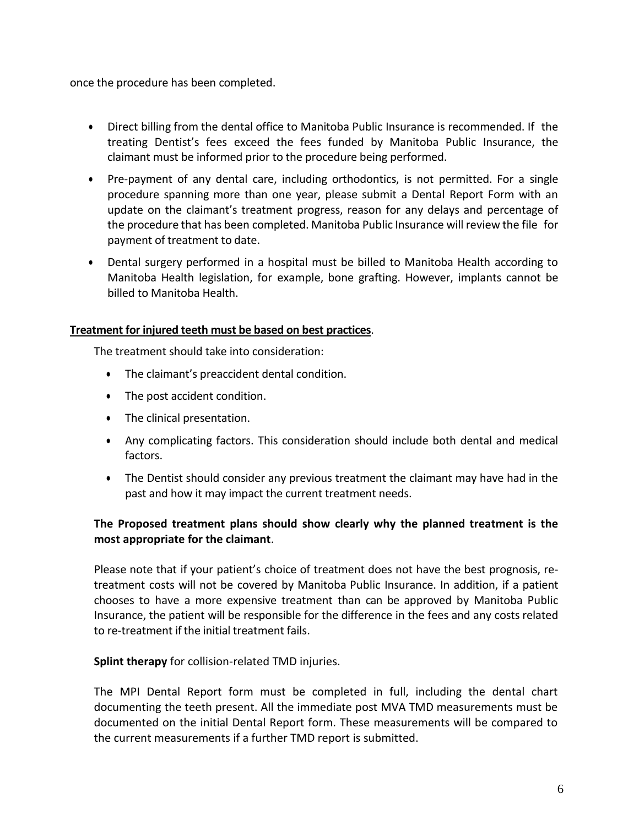once the procedure has been completed.

- Direct billing from the dental office to Manitoba Public Insurance is recommended. If the treating Dentist's fees exceed the fees funded by Manitoba Public Insurance, the claimant must be informed prior to the procedure being performed.
- Pre-payment of any dental care, including orthodontics, is not permitted. For a single procedure spanning more than one year, please submit a Dental Report Form with an update on the claimant's treatment progress, reason for any delays and percentage of the procedure that has been completed. Manitoba Public Insurance will review the file for payment of treatment to date.
- Dental surgery performed in a hospital must be billed to Manitoba Health according to Manitoba Health legislation, for example, bone grafting. However, implants cannot be billed to Manitoba Health.

## **Treatment for injured teeth must be based on best practices**.

The treatment should take into consideration:

- The claimant's preaccident dental condition.
- The post accident condition.
- The clinical presentation.
- Any complicating factors. This consideration should include both dental and medical factors.
- The Dentist should consider any previous treatment the claimant may have had in the past and how it may impact the current treatment needs.

## **The Proposed treatment plans should show clearly why the planned treatment is the most appropriate for the claimant**.

Please note that if your patient's choice of treatment does not have the best prognosis, retreatment costs will not be covered by Manitoba Public Insurance. In addition, if a patient chooses to have a more expensive treatment than can be approved by Manitoba Public Insurance, the patient will be responsible for the difference in the fees and any costs related to re-treatment if the initial treatment fails.

#### **Splint therapy** for collision-related TMD injuries.

The MPI Dental Report form must be completed in full, including the dental chart documenting the teeth present. All the immediate post MVA TMD measurements must be documented on the initial Dental Report form. These measurements will be compared to the current measurements if a further TMD report is submitted.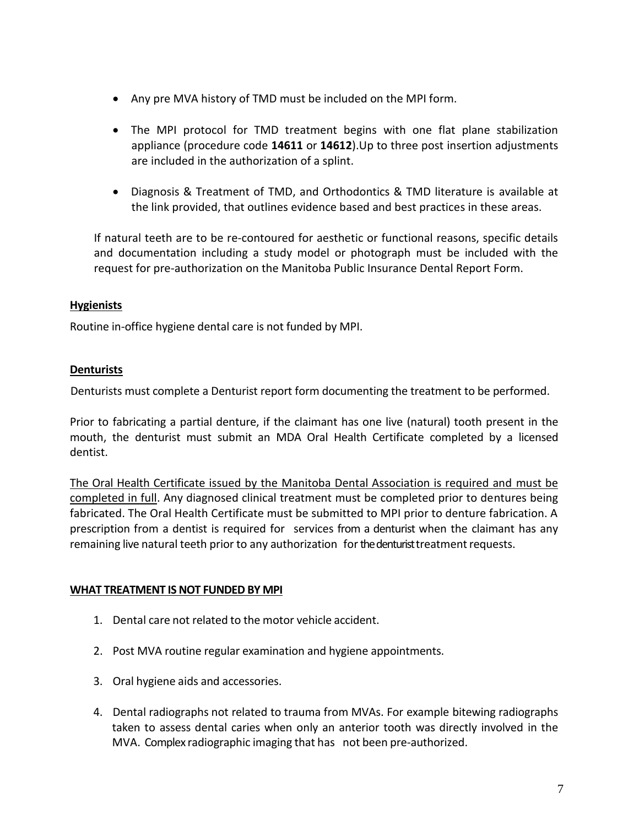- Any pre MVA history of TMD must be included on the MPI form.
- The MPI protocol for TMD treatment begins with one flat plane stabilization appliance (procedure code **14611** or **14612**).Up to three post insertion adjustments are included in the authorization of a splint.
- Diagnosis & Treatment of TMD, and Orthodontics & TMD literature is available at the link provided, that outlines evidence based and best practices in these areas.

If natural teeth are to be re-contoured for aesthetic or functional reasons, specific details and documentation including a study model or photograph must be included with the request for pre-authorization on the Manitoba Public Insurance Dental Report Form.

## **Hygienists**

Routine in-office hygiene dental care is not funded by MPI.

# **Denturists**

Denturists must complete a Denturist report form documenting the treatment to be performed.

Prior to fabricating a partial denture, if the claimant has one live (natural) tooth present in the mouth, the denturist must submit an MDA Oral Health Certificate completed by a licensed dentist.

The Oral Health Certificate issued by the Manitoba Dental Association is required and must be completed in full. Any diagnosed clinical treatment must be completed prior to dentures being fabricated. The Oral Health Certificate must be submitted to MPI prior to denture fabrication. A prescription from a dentist is required for services from a denturist when the claimant has any remaining live natural teeth prior to any authorization for the denturist treatment requests.

## **WHAT TREATMENT IS NOT FUNDED BY MPI**

- 1. Dental care not related to the motor vehicle accident.
- 2. Post MVA routine regular examination and hygiene appointments.
- 3. Oral hygiene aids and accessories.
- 4. Dental radiographs not related to trauma from MVAs. For example bitewing radiographs taken to assess dental caries when only an anterior tooth was directly involved in the MVA. Complex radiographic imaging that has not been pre-authorized.